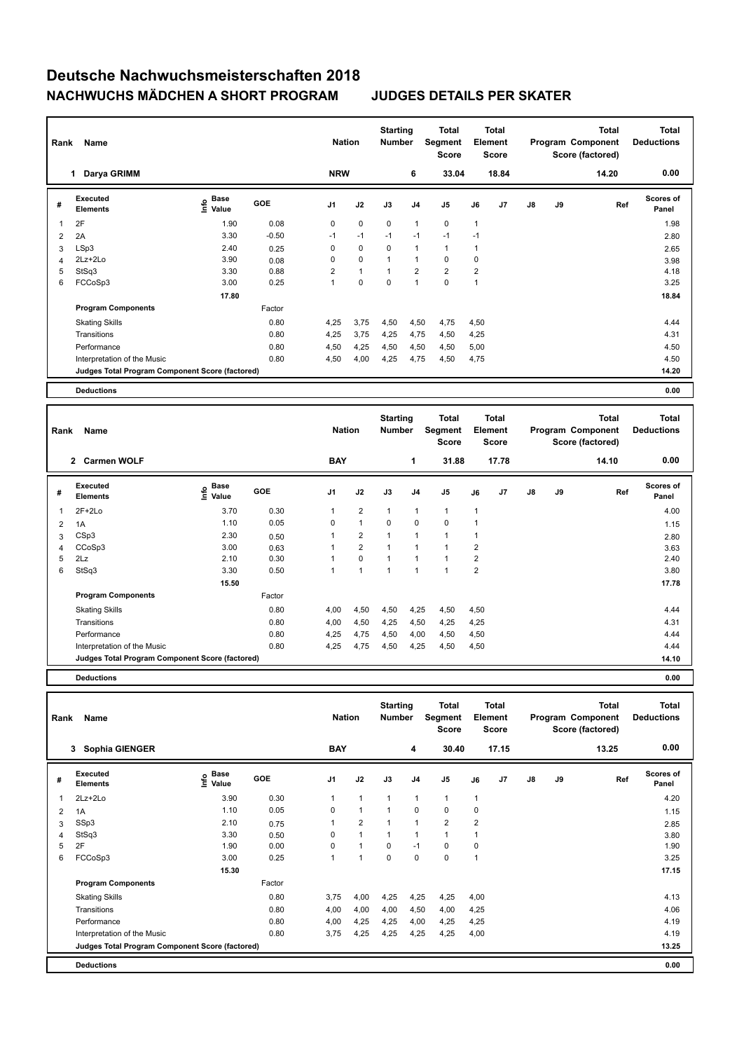| Rank           | Name                                            |                              | <b>Nation</b> |                | <b>Starting</b><br><b>Number</b> |                | Total<br>Segment<br>Score | Element        | <b>Total</b><br><b>Score</b> |                |               | <b>Total</b><br>Program Component<br>Score (factored) | Total<br><b>Deductions</b> |                           |
|----------------|-------------------------------------------------|------------------------------|---------------|----------------|----------------------------------|----------------|---------------------------|----------------|------------------------------|----------------|---------------|-------------------------------------------------------|----------------------------|---------------------------|
|                | Darya GRIMM<br>1.                               |                              |               | <b>NRW</b>     |                                  |                | 6                         | 33.04          |                              | 18.84          |               |                                                       | 14.20                      | 0.00                      |
| #              | Executed<br><b>Elements</b>                     | <b>Base</b><br>lnfo<br>Value | <b>GOE</b>    | J <sub>1</sub> | J2                               | J3             | J <sub>4</sub>            | J <sub>5</sub> | J6                           | J <sub>7</sub> | $\mathsf{J}8$ | J9                                                    | Ref                        | <b>Scores of</b><br>Panel |
| 1              | 2F                                              | 1.90                         | 0.08          | 0              | $\mathbf 0$                      | $\mathbf 0$    | $\overline{1}$            | $\mathbf 0$    | 1                            |                |               |                                                       |                            | 1.98                      |
| $\overline{2}$ | 2A                                              | 3.30                         | $-0.50$       | $-1$           | $-1$                             | $-1$           | $-1$                      | $-1$           | $-1$                         |                |               |                                                       |                            | 2.80                      |
| 3              | LSp3                                            | 2.40                         | 0.25          | 0              | 0                                | 0              | $\overline{1}$            | $\mathbf{1}$   | 1                            |                |               |                                                       |                            | 2.65                      |
| 4              | 2Lz+2Lo                                         | 3.90                         | 0.08          | 0              | $\mathbf 0$                      | $\overline{1}$ | $\overline{1}$            | 0              | 0                            |                |               |                                                       |                            | 3.98                      |
| 5              | StSq3                                           | 3.30                         | 0.88          | $\overline{2}$ | $\mathbf{1}$                     | 1              | $\overline{2}$            | $\overline{2}$ | $\overline{2}$               |                |               |                                                       |                            | 4.18                      |
| 6              | FCCoSp3                                         | 3.00                         | 0.25          | 1              | $\pmb{0}$                        | 0              | $\overline{1}$            | $\pmb{0}$      | 1                            |                |               |                                                       |                            | 3.25                      |
|                |                                                 | 17.80                        |               |                |                                  |                |                           |                |                              |                |               |                                                       |                            | 18.84                     |
|                | <b>Program Components</b>                       |                              | Factor        |                |                                  |                |                           |                |                              |                |               |                                                       |                            |                           |
|                | <b>Skating Skills</b>                           |                              | 0.80          | 4,25           | 3,75                             | 4,50           | 4,50                      | 4,75           | 4,50                         |                |               |                                                       |                            | 4.44                      |
|                | Transitions                                     |                              | 0.80          | 4,25           | 3,75                             | 4,25           | 4,75                      | 4,50           | 4,25                         |                |               |                                                       |                            | 4.31                      |
|                | Performance                                     |                              | 0.80          | 4,50           | 4,25                             | 4,50           | 4,50                      | 4,50           | 5,00                         |                |               |                                                       |                            | 4.50                      |
|                | Interpretation of the Music                     |                              | 0.80          | 4,50           | 4,00                             | 4,25           | 4,75                      | 4,50           | 4,75                         |                |               |                                                       |                            | 4.50                      |
|                | Judges Total Program Component Score (factored) |                              |               |                |                                  |                |                           |                |                              |                |               |                                                       |                            | 14.20                     |
|                | <b>Deductions</b>                               |                              |               |                |                                  |                |                           |                |                              |                |               |                                                       |                            | 0.00                      |

| Rank           | Name                                            |                                             | <b>Nation</b> |                | <b>Starting</b><br><b>Number</b> |                | Total<br>Segment<br><b>Score</b> |                | Total<br>Element<br><b>Score</b> |       |               | <b>Total</b><br>Program Component<br>Score (factored) | <b>Total</b><br><b>Deductions</b> |                           |
|----------------|-------------------------------------------------|---------------------------------------------|---------------|----------------|----------------------------------|----------------|----------------------------------|----------------|----------------------------------|-------|---------------|-------------------------------------------------------|-----------------------------------|---------------------------|
|                | $\mathbf{2}$<br><b>Carmen WOLF</b>              |                                             |               | <b>BAY</b>     |                                  |                | 1                                | 31.88          |                                  | 17.78 |               |                                                       | 14.10                             | 0.00                      |
| #              | Executed<br><b>Elements</b>                     | <b>Base</b><br>e <sup>Base</sup><br>⊆ Value | GOE           | J <sub>1</sub> | J2                               | J3             | J <sub>4</sub>                   | J <sub>5</sub> | J6                               | J7    | $\mathsf{J}8$ | J9                                                    | Ref                               | <b>Scores of</b><br>Panel |
| 1              | $2F+2Lo$                                        | 3.70                                        | 0.30          |                | $\overline{2}$                   | 1              | $\overline{1}$                   | 1              | $\overline{1}$                   |       |               |                                                       |                                   | 4.00                      |
| $\overline{2}$ | 1A                                              | 1.10                                        | 0.05          | 0              | $\mathbf{1}$                     | 0              | 0                                | $\mathbf 0$    | 1                                |       |               |                                                       |                                   | 1.15                      |
| 3              | CSp3                                            | 2.30                                        | 0.50          |                | $\overline{2}$                   | $\overline{ }$ | $\overline{1}$                   | $\overline{1}$ | -1                               |       |               |                                                       |                                   | 2.80                      |
| 4              | CCoSp3                                          | 3.00                                        | 0.63          |                | $\overline{2}$                   |                |                                  |                | $\overline{2}$                   |       |               |                                                       |                                   | 3.63                      |
| 5              | 2Lz                                             | 2.10                                        | 0.30          |                | $\mathbf 0$                      | 1              | $\overline{ }$                   |                | $\overline{\mathbf{c}}$          |       |               |                                                       |                                   | 2.40                      |
| 6              | StSq3                                           | 3.30                                        | 0.50          |                | $\mathbf{1}$                     | 1              | $\overline{1}$                   | $\overline{1}$ | $\overline{2}$                   |       |               |                                                       |                                   | 3.80                      |
|                |                                                 | 15.50                                       |               |                |                                  |                |                                  |                |                                  |       |               |                                                       |                                   | 17.78                     |
|                | <b>Program Components</b>                       |                                             | Factor        |                |                                  |                |                                  |                |                                  |       |               |                                                       |                                   |                           |
|                | <b>Skating Skills</b>                           |                                             | 0.80          | 4,00           | 4,50                             | 4,50           | 4,25                             | 4,50           | 4,50                             |       |               |                                                       |                                   | 4.44                      |
|                | Transitions                                     |                                             | 0.80          | 4,00           | 4,50                             | 4,25           | 4,50                             | 4,25           | 4,25                             |       |               |                                                       |                                   | 4.31                      |
|                | Performance                                     |                                             | 0.80          | 4,25           | 4,75                             | 4,50           | 4,00                             | 4,50           | 4,50                             |       |               |                                                       |                                   | 4.44                      |
|                | Interpretation of the Music                     |                                             | 0.80          | 4,25           | 4,75                             | 4,50           | 4,25                             | 4,50           | 4,50                             |       |               |                                                       |                                   | 4.44                      |
|                | Judges Total Program Component Score (factored) |                                             |               |                |                                  |                |                                  |                |                                  |       |               |                                                       |                                   | 14.10                     |
|                |                                                 |                                             |               |                |                                  |                |                                  |                |                                  |       |               |                                                       |                                   |                           |

**Deductions 0.00**

| Rank | Name                                            |                       | <b>Nation</b> |                | <b>Starting</b><br><b>Number</b> |      | <b>Total</b><br>Segment<br><b>Score</b> |                         | <b>Total</b><br>Element<br><b>Score</b> |       |               | Total<br>Program Component<br>Score (factored) | <b>Total</b><br><b>Deductions</b> |                           |
|------|-------------------------------------------------|-----------------------|---------------|----------------|----------------------------------|------|-----------------------------------------|-------------------------|-----------------------------------------|-------|---------------|------------------------------------------------|-----------------------------------|---------------------------|
|      | Sophia GIENGER<br>3                             |                       |               | <b>BAY</b>     |                                  |      | 4                                       | 30.40                   |                                         | 17.15 |               |                                                | 13.25                             | 0.00                      |
| #    | Executed<br><b>Elements</b>                     | $\sum_{i=1}^{6}$ Pase | <b>GOE</b>    | J <sub>1</sub> | J2                               | J3   | J <sub>4</sub>                          | J5                      | J6                                      | J7    | $\mathsf{J}8$ | J9                                             | Ref                               | <b>Scores of</b><br>Panel |
| 1    | 2Lz+2Lo                                         | 3.90                  | 0.30          | $\mathbf{1}$   | $\mathbf{1}$                     | 1    | $\mathbf{1}$                            | $\mathbf{1}$            | $\mathbf{1}$                            |       |               |                                                |                                   | 4.20                      |
| 2    | 1A                                              | 1.10                  | 0.05          | 0              | $\mathbf{1}$                     | 1    | $\mathbf 0$                             | $\mathbf 0$             | 0                                       |       |               |                                                |                                   | 1.15                      |
| 3    | SSp3                                            | 2.10                  | 0.75          |                | $\overline{\mathbf{c}}$          |      | $\overline{1}$                          | $\overline{\mathbf{c}}$ | 2                                       |       |               |                                                |                                   | 2.85                      |
| 4    | StSq3                                           | 3.30                  | 0.50          | 0              | $\overline{1}$                   |      |                                         | 1                       |                                         |       |               |                                                |                                   | 3.80                      |
| 5    | 2F                                              | 1.90                  | 0.00          | 0              |                                  | 0    | $-1$                                    | $\mathbf 0$             | 0                                       |       |               |                                                |                                   | 1.90                      |
| 6    | FCCoSp3                                         | 3.00                  | 0.25          | 1              | $\mathbf{1}$                     | 0    | 0                                       | $\mathbf 0$             | 1                                       |       |               |                                                |                                   | 3.25                      |
|      |                                                 | 15.30                 |               |                |                                  |      |                                         |                         |                                         |       |               |                                                |                                   | 17.15                     |
|      | <b>Program Components</b>                       |                       | Factor        |                |                                  |      |                                         |                         |                                         |       |               |                                                |                                   |                           |
|      | <b>Skating Skills</b>                           |                       | 0.80          | 3,75           | 4,00                             | 4,25 | 4,25                                    | 4,25                    | 4,00                                    |       |               |                                                |                                   | 4.13                      |
|      | Transitions                                     |                       | 0.80          | 4,00           | 4,00                             | 4,00 | 4,50                                    | 4,00                    | 4,25                                    |       |               |                                                |                                   | 4.06                      |
|      | Performance                                     |                       | 0.80          | 4,00           | 4,25                             | 4,25 | 4,00                                    | 4,25                    | 4,25                                    |       |               |                                                |                                   | 4.19                      |
|      | Interpretation of the Music                     |                       | 0.80          | 3,75           | 4,25                             | 4,25 | 4,25                                    | 4,25                    | 4,00                                    |       |               |                                                |                                   | 4.19                      |
|      | Judges Total Program Component Score (factored) |                       |               |                |                                  |      |                                         |                         |                                         |       |               |                                                |                                   | 13.25                     |
|      | <b>Deductions</b>                               |                       |               |                |                                  |      |                                         |                         |                                         |       |               |                                                |                                   | 0.00                      |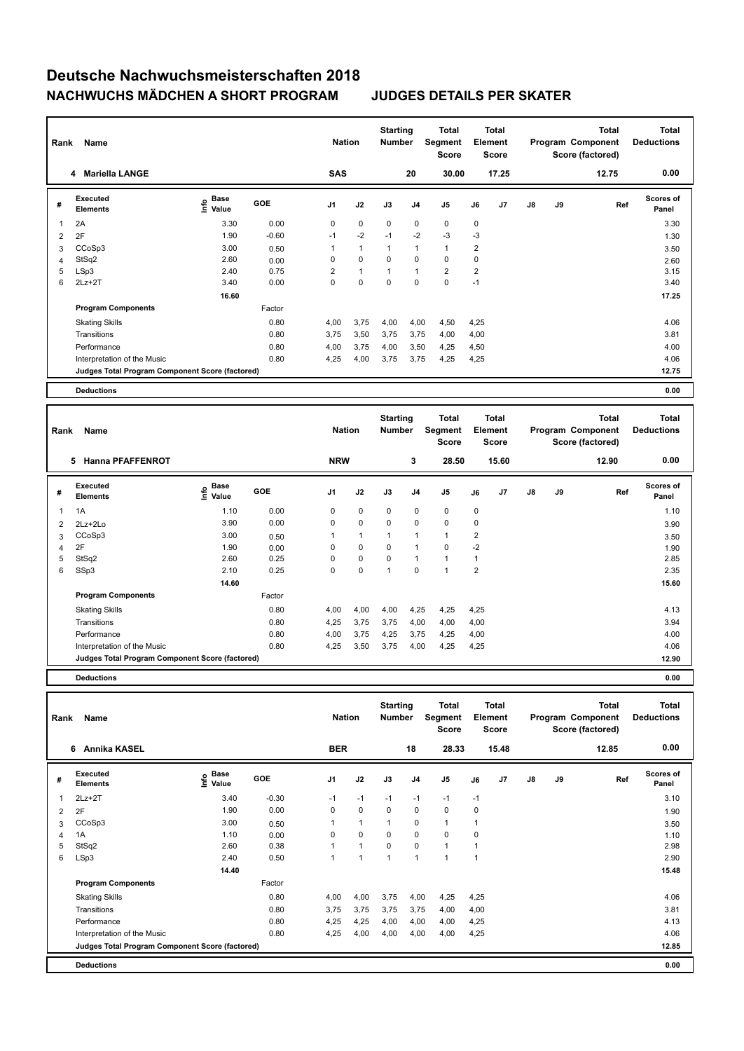| Rank           | Name                                            |                                  | <b>Nation</b> |                | <b>Starting</b><br>Number |                | <b>Total</b><br>Segment<br><b>Score</b> |                | <b>Total</b><br>Element<br><b>Score</b> |       |               | <b>Total</b><br>Program Component<br>Score (factored) | <b>Total</b><br><b>Deductions</b> |                           |
|----------------|-------------------------------------------------|----------------------------------|---------------|----------------|---------------------------|----------------|-----------------------------------------|----------------|-----------------------------------------|-------|---------------|-------------------------------------------------------|-----------------------------------|---------------------------|
|                | <b>Mariella LANGE</b><br>4                      |                                  |               | <b>SAS</b>     |                           |                | 20                                      | 30.00          |                                         | 17.25 |               |                                                       | 12.75                             | 0.00                      |
| #              | Executed<br><b>Elements</b>                     | <b>Base</b><br>o Base<br>⊆ Value | GOE           | J <sub>1</sub> | J2                        | J3             | J <sub>4</sub>                          | J5             | J6                                      | J7    | $\mathsf{J}8$ | J9                                                    | Ref                               | <b>Scores of</b><br>Panel |
| 1              | 2A                                              | 3.30                             | 0.00          | 0              | $\mathbf 0$               | $\mathbf 0$    | $\mathbf 0$                             | $\mathbf 0$    | 0                                       |       |               |                                                       |                                   | 3.30                      |
| 2              | 2F                                              | 1.90                             | $-0.60$       | $-1$           | $-2$                      | $-1$           | $-2$                                    | $-3$           | -3                                      |       |               |                                                       |                                   | 1.30                      |
| 3              | CCoSp3                                          | 3.00                             | 0.50          |                | $\mathbf{1}$              | $\overline{1}$ | $\mathbf{1}$                            | $\mathbf{1}$   | $\overline{2}$                          |       |               |                                                       |                                   | 3.50                      |
| $\overline{4}$ | StSq2                                           | 2.60                             | 0.00          | 0              | $\mathbf 0$               | 0              | $\mathbf 0$                             | $\mathbf 0$    | 0                                       |       |               |                                                       |                                   | 2.60                      |
| 5              | LSp3                                            | 2.40                             | 0.75          | $\overline{2}$ | $\mathbf{1}$              | $\overline{1}$ | $\mathbf{1}$                            | $\overline{2}$ | $\overline{2}$                          |       |               |                                                       |                                   | 3.15                      |
| 6              | $2Lz + 2T$                                      | 3.40                             | 0.00          | 0              | $\mathbf 0$               | $\pmb{0}$      | $\mathbf 0$                             | $\pmb{0}$      | $-1$                                    |       |               |                                                       |                                   | 3.40                      |
|                |                                                 | 16.60                            |               |                |                           |                |                                         |                |                                         |       |               |                                                       |                                   | 17.25                     |
|                | <b>Program Components</b>                       |                                  | Factor        |                |                           |                |                                         |                |                                         |       |               |                                                       |                                   |                           |
|                | <b>Skating Skills</b>                           |                                  | 0.80          | 4,00           | 3,75                      | 4,00           | 4,00                                    | 4,50           | 4,25                                    |       |               |                                                       |                                   | 4.06                      |
|                | Transitions                                     |                                  | 0.80          | 3,75           | 3,50                      | 3,75           | 3,75                                    | 4,00           | 4,00                                    |       |               |                                                       |                                   | 3.81                      |
|                | Performance                                     |                                  | 0.80          | 4,00           | 3,75                      | 4,00           | 3,50                                    | 4,25           | 4,50                                    |       |               |                                                       |                                   | 4.00                      |
|                | Interpretation of the Music                     |                                  | 0.80          | 4,25           | 4,00                      | 3,75           | 3,75                                    | 4,25           | 4,25                                    |       |               |                                                       |                                   | 4.06                      |
|                | Judges Total Program Component Score (factored) |                                  |               |                |                           |                |                                         |                |                                         |       |               |                                                       |                                   | 12.75                     |
|                | <b>Deductions</b>                               |                                  |               |                |                           |                |                                         |                |                                         |       |               |                                                       |                                   | 0.00                      |
|                |                                                 |                                  |               |                |                           |                |                                         |                |                                         |       |               |                                                       |                                   |                           |

| Rank | Name                                            |                              | <b>Nation</b> |                | <b>Starting</b><br><b>Number</b> |      | Total<br>Segment<br><b>Score</b> |                | <b>Total</b><br>Element<br>Score |                |               | <b>Total</b><br>Program Component<br>Score (factored) | <b>Total</b><br><b>Deductions</b> |                    |
|------|-------------------------------------------------|------------------------------|---------------|----------------|----------------------------------|------|----------------------------------|----------------|----------------------------------|----------------|---------------|-------------------------------------------------------|-----------------------------------|--------------------|
|      | 5<br><b>Hanna PFAFFENROT</b>                    |                              |               | <b>NRW</b>     |                                  |      | 3                                | 28.50          |                                  | 15.60          |               |                                                       | 12.90                             | 0.00               |
| #    | Executed<br><b>Elements</b>                     | <b>Base</b><br>lnfo<br>Value | <b>GOE</b>    | J <sub>1</sub> | J2                               | J3   | J <sub>4</sub>                   | J5             | J6                               | J <sub>7</sub> | $\mathsf{J}8$ | J9                                                    | Ref                               | Scores of<br>Panel |
| 1    | 1A                                              | 1.10                         | 0.00          | 0              | $\mathbf 0$                      | 0    | 0                                | 0              | 0                                |                |               |                                                       |                                   | 1.10               |
| 2    | 2Lz+2Lo                                         | 3.90                         | 0.00          | 0              | $\pmb{0}$                        | 0    | 0                                | 0              | 0                                |                |               |                                                       |                                   | 3.90               |
| 3    | CCoSp3                                          | 3.00                         | 0.50          | 1              | $\mathbf{1}$                     | 1    | 1                                | $\mathbf{1}$   | $\overline{\mathbf{c}}$          |                |               |                                                       |                                   | 3.50               |
| 4    | 2F                                              | 1.90                         | 0.00          | 0              | $\mathbf 0$                      | 0    | 1                                | $\mathbf 0$    | $-2$                             |                |               |                                                       |                                   | 1.90               |
| 5    | StSq2                                           | 2.60                         | 0.25          | 0              | $\mathbf 0$                      | 0    | 1                                | 1              | 1                                |                |               |                                                       |                                   | 2.85               |
| 6    | SSp3                                            | 2.10                         | 0.25          | 0              | 0                                | 1    | $\Omega$                         | $\overline{1}$ | $\overline{2}$                   |                |               |                                                       |                                   | 2.35               |
|      |                                                 | 14.60                        |               |                |                                  |      |                                  |                |                                  |                |               |                                                       |                                   | 15.60              |
|      | <b>Program Components</b>                       |                              | Factor        |                |                                  |      |                                  |                |                                  |                |               |                                                       |                                   |                    |
|      | <b>Skating Skills</b>                           |                              | 0.80          | 4,00           | 4,00                             | 4,00 | 4,25                             | 4,25           | 4,25                             |                |               |                                                       |                                   | 4.13               |
|      | Transitions                                     |                              | 0.80          | 4,25           | 3,75                             | 3,75 | 4,00                             | 4,00           | 4,00                             |                |               |                                                       |                                   | 3.94               |
|      | Performance                                     |                              | 0.80          | 4,00           | 3,75                             | 4,25 | 3,75                             | 4,25           | 4,00                             |                |               |                                                       |                                   | 4.00               |
|      | Interpretation of the Music                     |                              | 0.80          | 4,25           | 3,50                             | 3,75 | 4,00                             | 4,25           | 4,25                             |                |               |                                                       |                                   | 4.06               |
|      | Judges Total Program Component Score (factored) |                              |               |                |                                  |      |                                  |                |                                  |                |               |                                                       |                                   | 12.90              |
|      |                                                 |                              |               |                |                                  |      |                                  |                |                                  |                |               |                                                       |                                   |                    |

**Deductions 0.00**

| Rank | Name                                            |                             | <b>Nation</b> |                | <b>Starting</b><br><b>Number</b> |      | Total<br>Segment<br><b>Score</b> | Element              | Total<br><b>Score</b> |       |               | Total<br>Program Component<br>Score (factored) | <b>Total</b><br><b>Deductions</b> |                           |
|------|-------------------------------------------------|-----------------------------|---------------|----------------|----------------------------------|------|----------------------------------|----------------------|-----------------------|-------|---------------|------------------------------------------------|-----------------------------------|---------------------------|
|      | Annika KASEL<br>6                               |                             |               | <b>BER</b>     |                                  |      | 18                               | 28.33                |                       | 15.48 |               |                                                | 12.85                             | 0.00                      |
| #    | <b>Executed</b><br><b>Elements</b>              | $\sum_{k=1}^{\infty}$ Value | <b>GOE</b>    | J <sub>1</sub> | J2                               | J3   | J <sub>4</sub>                   | J5                   | J6                    | J7    | $\mathsf{J}8$ | J9                                             | Ref                               | <b>Scores of</b><br>Panel |
| 1    | $2Lz+2T$                                        | 3.40                        | $-0.30$       | $-1$           | $-1$                             | $-1$ | $-1$                             | $-1$                 | $-1$                  |       |               |                                                |                                   | 3.10                      |
| 2    | 2F                                              | 1.90                        | 0.00          | 0              | $\mathbf 0$                      | 0    | 0                                | $\mathbf 0$          | $\mathbf 0$           |       |               |                                                |                                   | 1.90                      |
| 3    | CCoSp3                                          | 3.00                        | 0.50          |                | 1                                |      | 0                                | $\mathbf{1}$         |                       |       |               |                                                |                                   | 3.50                      |
| 4    | 1A                                              | 1.10                        | 0.00          | 0              | 0                                | 0    | 0                                | $\mathbf 0$          | $\mathbf 0$           |       |               |                                                |                                   | 1.10                      |
| 5    | StSq2                                           | 2.60                        | 0.38          |                | 1                                | 0    | 0                                | 1                    |                       |       |               |                                                |                                   | 2.98                      |
| 6    | LSp3                                            | 2.40                        | 0.50          |                | 1                                | 1    | $\mathbf{1}$                     | $\blacktriangleleft$ | 1                     |       |               |                                                |                                   | 2.90                      |
|      |                                                 | 14.40                       |               |                |                                  |      |                                  |                      |                       |       |               |                                                |                                   | 15.48                     |
|      | <b>Program Components</b>                       |                             | Factor        |                |                                  |      |                                  |                      |                       |       |               |                                                |                                   |                           |
|      | <b>Skating Skills</b>                           |                             | 0.80          | 4,00           | 4,00                             | 3,75 | 4,00                             | 4,25                 | 4,25                  |       |               |                                                |                                   | 4.06                      |
|      | Transitions                                     |                             | 0.80          | 3,75           | 3,75                             | 3,75 | 3,75                             | 4,00                 | 4,00                  |       |               |                                                |                                   | 3.81                      |
|      | Performance                                     |                             | 0.80          | 4,25           | 4,25                             | 4,00 | 4,00                             | 4,00                 | 4,25                  |       |               |                                                |                                   | 4.13                      |
|      | Interpretation of the Music                     |                             | 0.80          | 4,25           | 4,00                             | 4,00 | 4,00                             | 4,00                 | 4,25                  |       |               |                                                |                                   | 4.06                      |
|      | Judges Total Program Component Score (factored) |                             |               |                |                                  |      |                                  |                      |                       |       |               |                                                |                                   | 12.85                     |
|      | <b>Deductions</b>                               |                             |               |                |                                  |      |                                  |                      |                       |       |               |                                                |                                   | 0.00                      |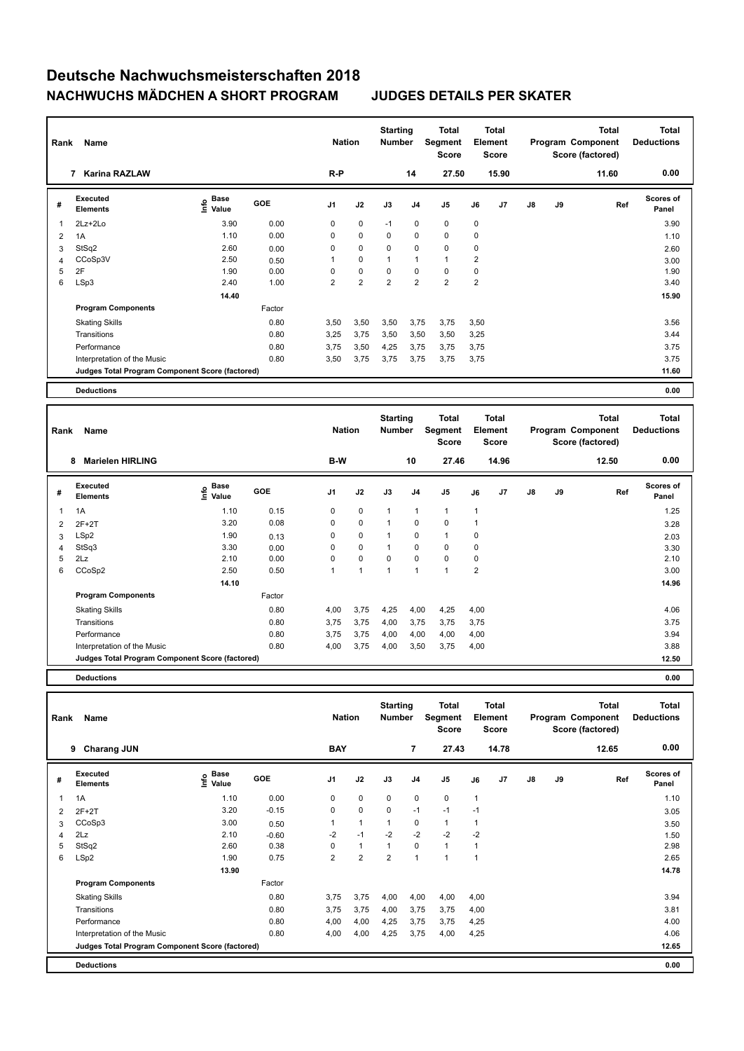| Rank           | Name                                            |                              | <b>Nation</b> |                | <b>Starting</b><br><b>Number</b> |                | <b>Total</b><br>Segment<br>Score |                | Total<br>Element<br><b>Score</b> |       |               | <b>Total</b><br>Program Component<br>Score (factored) | <b>Total</b><br><b>Deductions</b> |                           |
|----------------|-------------------------------------------------|------------------------------|---------------|----------------|----------------------------------|----------------|----------------------------------|----------------|----------------------------------|-------|---------------|-------------------------------------------------------|-----------------------------------|---------------------------|
|                | <b>Karina RAZLAW</b><br>7                       |                              |               | R-P            |                                  |                | 14                               | 27.50          |                                  | 15.90 |               |                                                       | 11.60                             | 0.00                      |
| #              | Executed<br><b>Elements</b>                     | <b>Base</b><br>lnfo<br>Value | GOE           | J <sub>1</sub> | J2                               | J3             | J <sub>4</sub>                   | J <sub>5</sub> | J6                               | J7    | $\mathsf{J}8$ | J9                                                    | Ref                               | <b>Scores of</b><br>Panel |
| $\overline{1}$ | 2Lz+2Lo                                         | 3.90                         | 0.00          | 0              | $\mathbf 0$                      | $-1$           | $\mathbf 0$                      | $\mathbf 0$    | $\pmb{0}$                        |       |               |                                                       |                                   | 3.90                      |
| $\overline{2}$ | 1A                                              | 1.10                         | 0.00          | 0              | 0                                | 0              | 0                                | 0              | 0                                |       |               |                                                       |                                   | 1.10                      |
| 3              | StSq2                                           | 2.60                         | 0.00          | 0              | $\mathbf 0$                      | $\mathbf 0$    | $\mathbf 0$                      | $\mathbf 0$    | 0                                |       |               |                                                       |                                   | 2.60                      |
| $\overline{4}$ | CCoSp3V                                         | 2.50                         | 0.50          | 1              | $\mathbf 0$                      | 1              | $\overline{1}$                   | $\mathbf{1}$   | 2                                |       |               |                                                       |                                   | 3.00                      |
| 5              | 2F                                              | 1.90                         | 0.00          | 0              | $\mathbf 0$                      | 0              | 0                                | $\mathbf 0$    | 0                                |       |               |                                                       |                                   | 1.90                      |
| 6              | LSp3                                            | 2.40                         | 1.00          | $\overline{2}$ | $\overline{2}$                   | $\overline{2}$ | $\overline{2}$                   | $\overline{2}$ | $\overline{2}$                   |       |               |                                                       |                                   | 3.40                      |
|                |                                                 | 14.40                        |               |                |                                  |                |                                  |                |                                  |       |               |                                                       |                                   | 15.90                     |
|                | <b>Program Components</b>                       |                              | Factor        |                |                                  |                |                                  |                |                                  |       |               |                                                       |                                   |                           |
|                | <b>Skating Skills</b>                           |                              | 0.80          | 3,50           | 3,50                             | 3,50           | 3,75                             | 3,75           | 3,50                             |       |               |                                                       |                                   | 3.56                      |
|                | Transitions                                     |                              | 0.80          | 3,25           | 3,75                             | 3,50           | 3,50                             | 3,50           | 3,25                             |       |               |                                                       |                                   | 3.44                      |
|                | Performance                                     |                              | 0.80          | 3,75           | 3,50                             | 4,25           | 3,75                             | 3,75           | 3,75                             |       |               |                                                       |                                   | 3.75                      |
|                | Interpretation of the Music                     |                              | 0.80          | 3,50           | 3,75                             | 3,75           | 3,75                             | 3,75           | 3,75                             |       |               |                                                       |                                   | 3.75                      |
|                | Judges Total Program Component Score (factored) |                              |               |                |                                  |                |                                  |                |                                  |       |               |                                                       |                                   | 11.60                     |
|                | <b>Deductions</b>                               |                              |               |                |                                  |                |                                  |                |                                  |       |               |                                                       |                                   | 0.00                      |
|                |                                                 |                              |               |                |                                  |                |                                  |                |                                  |       |               |                                                       |                                   |                           |

| Rank | Name                                            |                   | <b>Nation</b> |                | <b>Starting</b><br><b>Number</b> |                | <b>Total</b><br>Segment<br><b>Score</b> |                | <b>Total</b><br>Element<br><b>Score</b> |       |    | <b>Total</b><br>Program Component<br>Score (factored) | <b>Total</b><br><b>Deductions</b> |                           |
|------|-------------------------------------------------|-------------------|---------------|----------------|----------------------------------|----------------|-----------------------------------------|----------------|-----------------------------------------|-------|----|-------------------------------------------------------|-----------------------------------|---------------------------|
|      | <b>Marielen HIRLING</b><br>8                    |                   |               | B-W            |                                  |                | 10                                      | 27.46          |                                         | 14.96 |    |                                                       | 12.50                             | 0.00                      |
| #    | <b>Executed</b><br><b>Elements</b>              | e Base<br>E Value | <b>GOE</b>    | J <sub>1</sub> | J2                               | J3             | J <sub>4</sub>                          | J5             | J6                                      | J7    | J8 | J9                                                    | Ref                               | <b>Scores of</b><br>Panel |
| 1    | 1A                                              | 1.10              | 0.15          | 0              | $\mathbf 0$                      | $\overline{1}$ | $\overline{1}$                          | 1              | $\overline{1}$                          |       |    |                                                       |                                   | 1.25                      |
| 2    | $2F+2T$                                         | 3.20              | 0.08          | $\mathbf 0$    | $\mathbf 0$                      | 1              | $\mathbf 0$                             | $\mathbf 0$    |                                         |       |    |                                                       |                                   | 3.28                      |
| 3    | LSp2                                            | 1.90              | 0.13          | 0              | 0                                | 1              | 0                                       | 1              | 0                                       |       |    |                                                       |                                   | 2.03                      |
| 4    | StSq3                                           | 3.30              | 0.00          | 0              | $\mathbf 0$                      | 1              | 0                                       | 0              | 0                                       |       |    |                                                       |                                   | 3.30                      |
| 5    | 2Lz                                             | 2.10              | 0.00          | 0              | $\mathbf 0$                      | $\Omega$       | $\mathbf 0$                             | $\mathbf 0$    | 0                                       |       |    |                                                       |                                   | 2.10                      |
| 6    | CCoSp2                                          | 2.50              | 0.50          |                | 1                                | и              | $\overline{1}$                          | $\overline{1}$ | $\overline{2}$                          |       |    |                                                       |                                   | 3.00                      |
|      |                                                 | 14.10             |               |                |                                  |                |                                         |                |                                         |       |    |                                                       |                                   | 14.96                     |
|      | <b>Program Components</b>                       |                   | Factor        |                |                                  |                |                                         |                |                                         |       |    |                                                       |                                   |                           |
|      | <b>Skating Skills</b>                           |                   | 0.80          | 4,00           | 3,75                             | 4,25           | 4,00                                    | 4,25           | 4,00                                    |       |    |                                                       |                                   | 4.06                      |
|      | Transitions                                     |                   | 0.80          | 3,75           | 3,75                             | 4,00           | 3,75                                    | 3,75           | 3,75                                    |       |    |                                                       |                                   | 3.75                      |
|      | Performance                                     |                   | 0.80          | 3,75           | 3,75                             | 4,00           | 4,00                                    | 4,00           | 4,00                                    |       |    |                                                       |                                   | 3.94                      |
|      | Interpretation of the Music                     |                   | 0.80          | 4,00           | 3,75                             | 4,00           | 3,50                                    | 3,75           | 4,00                                    |       |    |                                                       |                                   | 3.88                      |
|      | Judges Total Program Component Score (factored) |                   |               |                |                                  |                |                                         |                |                                         |       |    |                                                       |                                   | 12.50                     |
|      |                                                 |                   |               |                |                                  |                |                                         |                |                                         |       |    |                                                       |                                   |                           |

**Deductions 0.00**

| Rank | Name                                            |                                  | <b>Nation</b> |                         | <b>Starting</b><br><b>Number</b> |                | Total<br>Segment<br><b>Score</b> | Element        | <b>Total</b><br><b>Score</b> |       |               | Total<br>Program Component<br>Score (factored) | Total<br><b>Deductions</b> |                           |
|------|-------------------------------------------------|----------------------------------|---------------|-------------------------|----------------------------------|----------------|----------------------------------|----------------|------------------------------|-------|---------------|------------------------------------------------|----------------------------|---------------------------|
|      | <b>Charang JUN</b><br>9                         |                                  |               | <b>BAY</b>              |                                  |                | $\overline{7}$                   | 27.43          |                              | 14.78 |               |                                                | 12.65                      | 0.00                      |
| #    | <b>Executed</b><br><b>Elements</b>              | <b>Base</b><br>e Base<br>E Value | <b>GOE</b>    | J <sub>1</sub>          | J2                               | J3             | J <sub>4</sub>                   | J <sub>5</sub> | J6                           | J7    | $\mathsf{J}8$ | J9                                             | Ref                        | <b>Scores of</b><br>Panel |
| 1    | 1A                                              | 1.10                             | 0.00          | 0                       | $\pmb{0}$                        | 0              | $\pmb{0}$                        | 0              | $\mathbf{1}$                 |       |               |                                                |                            | 1.10                      |
| 2    | $2F+2T$                                         | 3.20                             | $-0.15$       | 0                       | $\mathbf 0$                      | 0              | $-1$                             | $-1$           | $-1$                         |       |               |                                                |                            | 3.05                      |
| 3    | CCoSp3                                          | 3.00                             | 0.50          |                         | $\mathbf{1}$                     |                | 0                                | $\mathbf{1}$   | 1                            |       |               |                                                |                            | 3.50                      |
| 4    | 2Lz                                             | 2.10                             | $-0.60$       | $-2$                    | $-1$                             | $-2$           | $-2$                             | $-2$           | $-2$                         |       |               |                                                |                            | 1.50                      |
| 5    | StSq2                                           | 2.60                             | 0.38          | 0                       | $\mathbf{1}$                     | $\mathbf{1}$   | $\mathbf 0$                      | $\mathbf{1}$   | 1                            |       |               |                                                |                            | 2.98                      |
| 6    | LSp2                                            | 1.90                             | 0.75          | $\overline{\mathbf{c}}$ | $\overline{2}$                   | $\overline{2}$ | $\overline{1}$                   | 1              | 1                            |       |               |                                                |                            | 2.65                      |
|      |                                                 | 13.90                            |               |                         |                                  |                |                                  |                |                              |       |               |                                                |                            | 14.78                     |
|      | <b>Program Components</b>                       |                                  | Factor        |                         |                                  |                |                                  |                |                              |       |               |                                                |                            |                           |
|      | <b>Skating Skills</b>                           |                                  | 0.80          | 3,75                    | 3,75                             | 4,00           | 4,00                             | 4,00           | 4,00                         |       |               |                                                |                            | 3.94                      |
|      | Transitions                                     |                                  | 0.80          | 3,75                    | 3,75                             | 4,00           | 3,75                             | 3,75           | 4,00                         |       |               |                                                |                            | 3.81                      |
|      | Performance                                     |                                  | 0.80          | 4,00                    | 4,00                             | 4,25           | 3,75                             | 3,75           | 4,25                         |       |               |                                                |                            | 4.00                      |
|      | Interpretation of the Music                     |                                  | 0.80          | 4,00                    | 4,00                             | 4,25           | 3,75                             | 4,00           | 4,25                         |       |               |                                                |                            | 4.06                      |
|      | Judges Total Program Component Score (factored) |                                  |               |                         |                                  |                |                                  |                |                              |       |               |                                                |                            | 12.65                     |
|      | <b>Deductions</b>                               |                                  |               |                         |                                  |                |                                  |                |                              |       |               |                                                |                            | 0.00                      |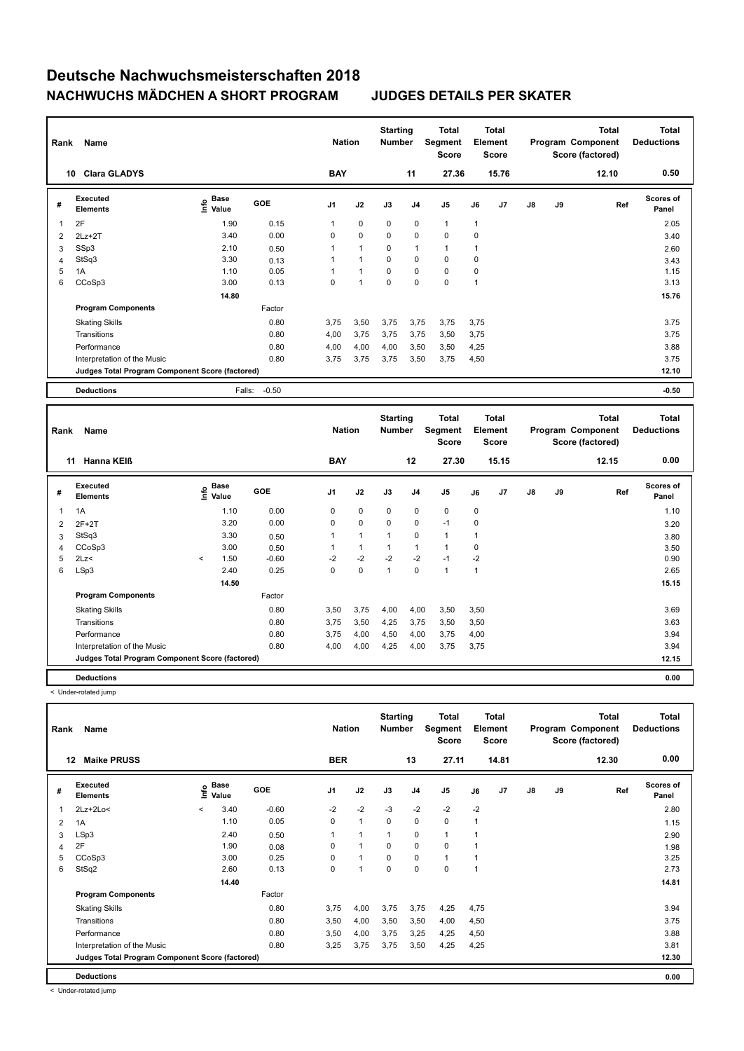| Rank | Name                                            |                                           | <b>Nation</b> |                | <b>Starting</b><br><b>Number</b> |             | <b>Total</b><br>Segment<br><b>Score</b> |                | <b>Total</b><br>Element<br><b>Score</b> |                |               | <b>Total</b><br>Program Component<br>Score (factored) | <b>Total</b><br><b>Deductions</b> |                           |
|------|-------------------------------------------------|-------------------------------------------|---------------|----------------|----------------------------------|-------------|-----------------------------------------|----------------|-----------------------------------------|----------------|---------------|-------------------------------------------------------|-----------------------------------|---------------------------|
|      | <b>Clara GLADYS</b><br>10                       |                                           |               | <b>BAY</b>     |                                  |             | 11                                      | 27.36          |                                         | 15.76          |               |                                                       | 12.10                             | 0.50                      |
| #    | Executed<br><b>Elements</b>                     | $\frac{e}{E}$ Base<br>$\frac{e}{E}$ Value | GOE           | J <sub>1</sub> | J2                               | J3          | J <sub>4</sub>                          | J <sub>5</sub> | J6                                      | J <sub>7</sub> | $\mathsf{J}8$ | J9                                                    | Ref                               | <b>Scores of</b><br>Panel |
|      | 2F                                              | 1.90                                      | 0.15          |                | $\pmb{0}$                        | 0           | $\pmb{0}$                               | $\mathbf{1}$   | $\overline{1}$                          |                |               |                                                       |                                   | 2.05                      |
| 2    | $2Lz+2T$                                        | 3.40                                      | 0.00          | 0              | $\mathbf 0$                      | $\mathbf 0$ | $\mathbf 0$                             | $\mathbf 0$    | 0                                       |                |               |                                                       |                                   | 3.40                      |
| 3    | SSp3                                            | 2.10                                      | 0.50          |                | 1                                | 0           | $\mathbf{1}$                            | 1              |                                         |                |               |                                                       |                                   | 2.60                      |
| 4    | StSq3                                           | 3.30                                      | 0.13          |                | $\blacktriangleleft$             | 0           | 0                                       | 0              | 0                                       |                |               |                                                       |                                   | 3.43                      |
| 5    | 1A                                              | 1.10                                      | 0.05          |                | $\overline{1}$                   | $\mathbf 0$ | $\mathbf 0$                             | $\mathbf 0$    | 0                                       |                |               |                                                       |                                   | 1.15                      |
| 6    | CCoSp3                                          | 3.00                                      | 0.13          | 0              | $\overline{1}$                   | 0           | 0                                       | 0              | 1                                       |                |               |                                                       |                                   | 3.13                      |
|      |                                                 | 14.80                                     |               |                |                                  |             |                                         |                |                                         |                |               |                                                       |                                   | 15.76                     |
|      | <b>Program Components</b>                       |                                           | Factor        |                |                                  |             |                                         |                |                                         |                |               |                                                       |                                   |                           |
|      | <b>Skating Skills</b>                           |                                           | 0.80          | 3,75           | 3,50                             | 3,75        | 3,75                                    | 3,75           | 3,75                                    |                |               |                                                       |                                   | 3.75                      |
|      | Transitions                                     |                                           | 0.80          | 4,00           | 3,75                             | 3,75        | 3,75                                    | 3,50           | 3,75                                    |                |               |                                                       |                                   | 3.75                      |
|      | Performance                                     |                                           | 0.80          | 4,00           | 4,00                             | 4,00        | 3,50                                    | 3,50           | 4,25                                    |                |               |                                                       |                                   | 3.88                      |
|      | Interpretation of the Music                     |                                           | 0.80          | 3,75           | 3,75                             | 3,75        | 3,50                                    | 3,75           | 4,50                                    |                |               |                                                       |                                   | 3.75                      |
|      | Judges Total Program Component Score (factored) |                                           |               |                |                                  |             |                                         |                |                                         |                |               |                                                       |                                   | 12.10                     |
|      | <b>Deductions</b>                               | Falls:                                    | $-0.50$       |                |                                  |             |                                         |                |                                         |                |               |                                                       |                                   | $-0.50$                   |

| Rank | Name                                            |              |                                             |            | <b>Nation</b>  |              | <b>Starting</b><br><b>Number</b> |                | Total<br>Segment<br><b>Score</b> |              | <b>Total</b><br>Element<br><b>Score</b> |               |    | Total<br>Program Component<br>Score (factored) | <b>Total</b><br><b>Deductions</b> |
|------|-------------------------------------------------|--------------|---------------------------------------------|------------|----------------|--------------|----------------------------------|----------------|----------------------------------|--------------|-----------------------------------------|---------------|----|------------------------------------------------|-----------------------------------|
|      | <b>Hanna KEIB</b><br>11                         |              |                                             |            | <b>BAY</b>     |              |                                  | 12             | 27.30                            |              | 15.15                                   |               |    | 12.15                                          | 0.00                              |
| #    | Executed<br><b>Elements</b>                     |              | <b>Base</b><br>e <sup>Base</sup><br>⊆ Value | <b>GOE</b> | J <sub>1</sub> | J2           | J3                               | J <sub>4</sub> | J <sub>5</sub>                   | J6           | J7                                      | $\mathsf{J}8$ | J9 | Ref                                            | <b>Scores of</b><br>Panel         |
| 1    | 1A                                              |              | 1.10                                        | 0.00       | 0              | $\mathbf 0$  | $\mathbf 0$                      | 0              | $\mathbf 0$                      | 0            |                                         |               |    |                                                | 1.10                              |
| 2    | $2F+2T$                                         |              | 3.20                                        | 0.00       | 0              | 0            | 0                                | 0              | $-1$                             | $\mathbf 0$  |                                         |               |    |                                                | 3.20                              |
| 3    | StSq3                                           |              | 3.30                                        | 0.50       |                | $\mathbf{1}$ | $\mathbf{1}$                     | $\mathbf 0$    | $\mathbf{1}$                     | 1            |                                         |               |    |                                                | 3.80                              |
| 4    | CCoSp3                                          |              | 3.00                                        | 0.50       |                | 1            | 1                                | $\mathbf{1}$   | 1                                | 0            |                                         |               |    |                                                | 3.50                              |
| 5    | 2Lz<                                            | $\checkmark$ | 1.50                                        | $-0.60$    | $-2$           | $-2$         | $-2$                             | $-2$           | $-1$                             | $-2$         |                                         |               |    |                                                | 0.90                              |
| 6    | LSp3                                            |              | 2.40                                        | 0.25       | 0              | $\mathbf 0$  | $\overline{1}$                   | $\mathbf 0$    | $\mathbf{1}$                     | $\mathbf{1}$ |                                         |               |    |                                                | 2.65                              |
|      |                                                 |              | 14.50                                       |            |                |              |                                  |                |                                  |              |                                         |               |    |                                                | 15.15                             |
|      | <b>Program Components</b>                       |              |                                             | Factor     |                |              |                                  |                |                                  |              |                                         |               |    |                                                |                                   |
|      | <b>Skating Skills</b>                           |              |                                             | 0.80       | 3,50           | 3,75         | 4,00                             | 4,00           | 3,50                             | 3,50         |                                         |               |    |                                                | 3.69                              |
|      | Transitions                                     |              |                                             | 0.80       | 3,75           | 3,50         | 4,25                             | 3,75           | 3,50                             | 3,50         |                                         |               |    |                                                | 3.63                              |
|      | Performance                                     |              |                                             | 0.80       | 3.75           | 4,00         | 4,50                             | 4,00           | 3,75                             | 4,00         |                                         |               |    |                                                | 3.94                              |
|      | Interpretation of the Music                     |              |                                             | 0.80       | 4,00           | 4,00         | 4,25                             | 4,00           | 3,75                             | 3,75         |                                         |               |    |                                                | 3.94                              |
|      | Judges Total Program Component Score (factored) |              |                                             |            |                |              |                                  |                |                                  |              |                                         |               |    |                                                | 12.15                             |
|      | <b>Deductions</b>                               |              |                                             |            |                |              |                                  |                |                                  |              |                                         |               |    |                                                | 0.00                              |

< Under-rotated jump

| Rank                     | Name                                            |         |               |         | <b>Nation</b>  |              | <b>Starting</b><br><b>Number</b> |                | <b>Total</b><br>Segment<br><b>Score</b> |      | <b>Total</b><br>Element<br>Score |               |    | <b>Total</b><br>Program Component<br>Score (factored) | <b>Total</b><br><b>Deductions</b> |
|--------------------------|-------------------------------------------------|---------|---------------|---------|----------------|--------------|----------------------------------|----------------|-----------------------------------------|------|----------------------------------|---------------|----|-------------------------------------------------------|-----------------------------------|
|                          | <b>Maike PRUSS</b><br>12                        |         |               |         | <b>BER</b>     |              |                                  | 13             | 27.11                                   |      | 14.81                            |               |    | 12.30                                                 | 0.00                              |
| #                        | Executed<br><b>Elements</b>                     | ١nfo    | Base<br>Value | GOE     | J <sub>1</sub> | J2           | J3                               | J <sub>4</sub> | J5                                      | J6   | J7                               | $\mathsf{J}8$ | J9 | Ref                                                   | Scores of<br>Panel                |
| $\overline{\phantom{a}}$ | $2Lz+2Lo<$                                      | $\prec$ | 3.40          | $-0.60$ | $-2$           | $-2$         | $-3$                             | $-2$           | $-2$                                    | $-2$ |                                  |               |    |                                                       | 2.80                              |
| 2                        | 1A                                              |         | 1.10          | 0.05    | 0              | $\mathbf{1}$ | $\mathbf 0$                      | $\mathbf 0$    | $\mathbf 0$                             | 1    |                                  |               |    |                                                       | 1.15                              |
| 3                        | LSp3                                            |         | 2.40          | 0.50    | $\mathbf{1}$   | 1            | $\mathbf{1}$                     | 0              | $\mathbf{1}$                            |      |                                  |               |    |                                                       | 2.90                              |
| $\overline{4}$           | 2F                                              |         | 1.90          | 0.08    | 0              | $\mathbf{1}$ | 0                                | $\mathbf 0$    | $\mathbf 0$                             |      |                                  |               |    |                                                       | 1.98                              |
| 5                        | CCoSp3                                          |         | 3.00          | 0.25    | 0              | $\mathbf{1}$ | 0                                | 0              | $\mathbf{1}$                            |      |                                  |               |    |                                                       | 3.25                              |
| 6                        | StSq2                                           |         | 2.60          | 0.13    | 0              | 1            | $\mathbf 0$                      | $\mathbf 0$    | $\mathbf 0$                             | 1    |                                  |               |    |                                                       | 2.73                              |
|                          |                                                 |         | 14.40         |         |                |              |                                  |                |                                         |      |                                  |               |    |                                                       | 14.81                             |
|                          | <b>Program Components</b>                       |         |               | Factor  |                |              |                                  |                |                                         |      |                                  |               |    |                                                       |                                   |
|                          | <b>Skating Skills</b>                           |         |               | 0.80    | 3,75           | 4,00         | 3,75                             | 3,75           | 4,25                                    | 4,75 |                                  |               |    |                                                       | 3.94                              |
|                          | Transitions                                     |         |               | 0.80    | 3,50           | 4,00         | 3,50                             | 3,50           | 4,00                                    | 4,50 |                                  |               |    |                                                       | 3.75                              |
|                          | Performance                                     |         |               | 0.80    | 3,50           | 4,00         | 3,75                             | 3,25           | 4,25                                    | 4,50 |                                  |               |    |                                                       | 3.88                              |
|                          | Interpretation of the Music                     |         |               | 0.80    | 3,25           | 3,75         | 3,75                             | 3,50           | 4,25                                    | 4,25 |                                  |               |    |                                                       | 3.81                              |
|                          | Judges Total Program Component Score (factored) |         |               |         |                |              |                                  |                |                                         |      |                                  |               |    |                                                       | 12.30                             |
|                          | <b>Deductions</b>                               |         |               |         |                |              |                                  |                |                                         |      |                                  |               |    |                                                       | 0.00                              |

< Under-rotated jump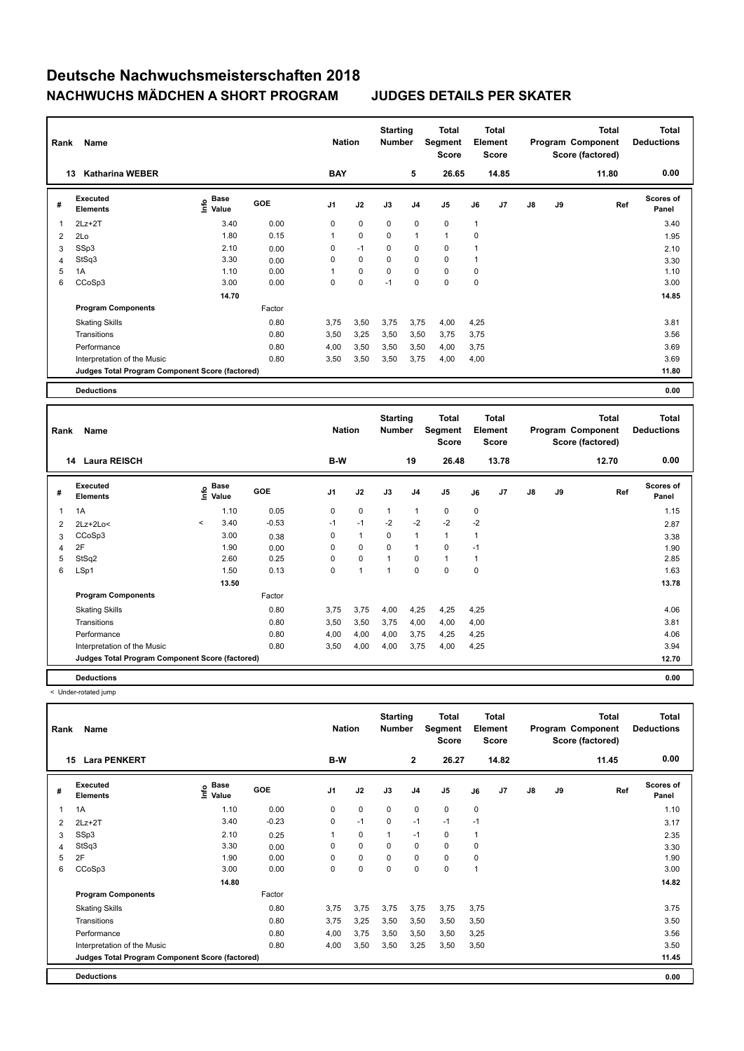| Rank           | Name                                            | <b>Nation</b>               |            | <b>Starting</b><br><b>Number</b> |             | <b>Total</b><br>Segment<br><b>Score</b> | <b>Total</b><br>Element<br><b>Score</b> |                |             |       | <b>Total</b><br>Program Component<br>Score (factored) | <b>Total</b><br><b>Deductions</b> |       |                           |
|----------------|-------------------------------------------------|-----------------------------|------------|----------------------------------|-------------|-----------------------------------------|-----------------------------------------|----------------|-------------|-------|-------------------------------------------------------|-----------------------------------|-------|---------------------------|
|                | <b>Katharina WEBER</b><br>13                    |                             |            | <b>BAY</b>                       |             |                                         | 5                                       | 26.65          |             | 14.85 |                                                       |                                   | 11.80 | 0.00                      |
| #              | Executed<br><b>Elements</b>                     | Base<br>$\frac{6}{5}$ Value | <b>GOE</b> | J <sub>1</sub>                   | J2          | J3                                      | J <sub>4</sub>                          | J <sub>5</sub> | J6          | J7    | $\mathsf{J}8$                                         | J9                                | Ref   | <b>Scores of</b><br>Panel |
|                | $2Lz+2T$                                        | 3.40                        | 0.00       | 0                                | $\mathbf 0$ | $\mathbf 0$                             | $\pmb{0}$                               | $\pmb{0}$      | 1           |       |                                                       |                                   |       | 3.40                      |
| $\overline{2}$ | 2Lo                                             | 1.80                        | 0.15       |                                  | $\mathbf 0$ | 0                                       | $\overline{1}$                          | 1              | $\mathbf 0$ |       |                                                       |                                   |       | 1.95                      |
| 3              | SSp3                                            | 2.10                        | 0.00       | 0                                | $-1$        | 0                                       | 0                                       | $\mathbf 0$    |             |       |                                                       |                                   |       | 2.10                      |
| $\overline{4}$ | StSq3                                           | 3.30                        | 0.00       | 0                                | 0           | 0                                       | $\mathbf 0$                             | $\pmb{0}$      |             |       |                                                       |                                   |       | 3.30                      |
| 5              | 1A                                              | 1.10                        | 0.00       |                                  | $\mathbf 0$ | 0                                       | $\mathbf 0$                             | $\mathbf 0$    | $\mathbf 0$ |       |                                                       |                                   |       | 1.10                      |
| 6              | CCoSp3                                          | 3.00                        | 0.00       | 0                                | $\mathbf 0$ | $-1$                                    | 0                                       | $\pmb{0}$      | $\mathbf 0$ |       |                                                       |                                   |       | 3.00                      |
|                |                                                 | 14.70                       |            |                                  |             |                                         |                                         |                |             |       |                                                       |                                   |       | 14.85                     |
|                | <b>Program Components</b>                       |                             | Factor     |                                  |             |                                         |                                         |                |             |       |                                                       |                                   |       |                           |
|                | <b>Skating Skills</b>                           |                             | 0.80       | 3,75                             | 3,50        | 3,75                                    | 3,75                                    | 4,00           | 4,25        |       |                                                       |                                   |       | 3.81                      |
|                | Transitions                                     |                             | 0.80       | 3,50                             | 3,25        | 3,50                                    | 3,50                                    | 3,75           | 3,75        |       |                                                       |                                   |       | 3.56                      |
|                | Performance                                     |                             | 0.80       | 4,00                             | 3,50        | 3,50                                    | 3,50                                    | 4,00           | 3,75        |       |                                                       |                                   |       | 3.69                      |
|                | Interpretation of the Music                     |                             | 0.80       | 3,50                             | 3,50        | 3,50                                    | 3,75                                    | 4,00           | 4,00        |       |                                                       |                                   |       | 3.69                      |
|                | Judges Total Program Component Score (factored) |                             |            |                                  |             |                                         |                                         |                |             |       |                                                       |                                   |       | 11.80                     |
|                | <b>Deductions</b>                               |                             |            |                                  |             |                                         |                                         |                |             |       |                                                       |                                   |       | 0.00                      |

| Rank | Name                                            |         | <b>Nation</b>                      |            | <b>Starting</b><br><b>Number</b> | Total<br>Segment<br><b>Score</b> | <b>Total</b><br>Element<br><b>Score</b> |                |              |             | <b>Total</b><br>Program Component<br>Score (factored) | <b>Total</b><br><b>Deductions</b> |    |       |                           |
|------|-------------------------------------------------|---------|------------------------------------|------------|----------------------------------|----------------------------------|-----------------------------------------|----------------|--------------|-------------|-------------------------------------------------------|-----------------------------------|----|-------|---------------------------|
|      | <b>Laura REISCH</b><br>14                       |         |                                    |            | B-W                              |                                  |                                         | 19             | 26.48        |             | 13.78                                                 |                                   |    | 12.70 | 0.00                      |
| #    | <b>Executed</b><br><b>Elements</b>              |         | <b>Base</b><br>$\frac{6}{5}$ Value | <b>GOE</b> | J <sub>1</sub>                   | J2                               | J3                                      | J <sub>4</sub> | J5           | J6          | J7                                                    | $\mathsf{J}8$                     | J9 | Ref   | <b>Scores of</b><br>Panel |
| 1    | 1A                                              |         | 1.10                               | 0.05       | 0                                | $\mathbf 0$                      | $\mathbf{1}$                            | $\mathbf{1}$   | $\mathbf 0$  | $\mathbf 0$ |                                                       |                                   |    |       | 1.15                      |
| 2    | $2Lz+2Lo<$                                      | $\prec$ | 3.40                               | $-0.53$    | $-1$                             | $-1$                             | $-2$                                    | $-2$           | $-2$         | $-2$        |                                                       |                                   |    |       | 2.87                      |
| 3    | CCoSp3                                          |         | 3.00                               | 0.38       | 0                                | $\mathbf{1}$                     | 0                                       | $\mathbf{1}$   | $\mathbf{1}$ | 1           |                                                       |                                   |    |       | 3.38                      |
| 4    | 2F                                              |         | 1.90                               | 0.00       | 0                                | $\mathbf 0$                      | $\mathbf 0$                             | $\mathbf{1}$   | $\mathbf 0$  | $-1$        |                                                       |                                   |    |       | 1.90                      |
| 5    | StSq2                                           |         | 2.60                               | 0.25       | 0                                | $\pmb{0}$                        | 1                                       | 0              | $\mathbf{1}$ | 1           |                                                       |                                   |    |       | 2.85                      |
| 6    | LSp1                                            |         | 1.50                               | 0.13       | 0                                | $\mathbf{1}$                     | 1                                       | 0              | $\mathbf 0$  | 0           |                                                       |                                   |    |       | 1.63                      |
|      |                                                 |         | 13.50                              |            |                                  |                                  |                                         |                |              |             |                                                       |                                   |    |       | 13.78                     |
|      | <b>Program Components</b>                       |         |                                    | Factor     |                                  |                                  |                                         |                |              |             |                                                       |                                   |    |       |                           |
|      | <b>Skating Skills</b>                           |         |                                    | 0.80       | 3,75                             | 3,75                             | 4,00                                    | 4,25           | 4,25         | 4,25        |                                                       |                                   |    |       | 4.06                      |
|      | Transitions                                     |         |                                    | 0.80       | 3,50                             | 3,50                             | 3,75                                    | 4,00           | 4,00         | 4,00        |                                                       |                                   |    |       | 3.81                      |
|      | Performance                                     |         |                                    | 0.80       | 4,00                             | 4,00                             | 4,00                                    | 3,75           | 4,25         | 4,25        |                                                       |                                   |    |       | 4.06                      |
|      | Interpretation of the Music                     |         |                                    | 0.80       | 3,50                             | 4,00                             | 4,00                                    | 3,75           | 4,00         | 4,25        |                                                       |                                   |    |       | 3.94                      |
|      | Judges Total Program Component Score (factored) |         |                                    |            |                                  |                                  |                                         |                |              |             |                                                       |                                   |    |       | 12.70                     |
|      | <b>Deductions</b>                               |         |                                    |            |                                  |                                  |                                         |                |              |             |                                                       |                                   |    |       | 0.00                      |

< Under-rotated jump

| Rank | <b>Name</b>                                     |                                  | <b>Nation</b> |                | <b>Starting</b><br><b>Number</b> | <b>Total</b><br>Segment<br><b>Score</b> | <b>Total</b><br>Element<br><b>Score</b> |                | <b>Total</b><br>Program Component<br>Score (factored) |                |               | <b>Total</b><br><b>Deductions</b> |       |                           |
|------|-------------------------------------------------|----------------------------------|---------------|----------------|----------------------------------|-----------------------------------------|-----------------------------------------|----------------|-------------------------------------------------------|----------------|---------------|-----------------------------------|-------|---------------------------|
|      | <b>Lara PENKERT</b><br>15                       |                                  |               | B-W            |                                  |                                         | $\mathbf{2}$                            | 26.27          |                                                       | 14.82          |               |                                   | 11.45 | 0.00                      |
| #    | Executed<br><b>Elements</b>                     | <b>Base</b><br>e Base<br>⊆ Value | <b>GOE</b>    | J <sub>1</sub> | J2                               | J3                                      | J <sub>4</sub>                          | J <sub>5</sub> | J6                                                    | J <sub>7</sub> | $\mathsf{J}8$ | J9                                | Ref   | <b>Scores of</b><br>Panel |
| 1    | 1A                                              | 1.10                             | 0.00          | 0              | $\mathbf 0$                      | $\mathbf 0$                             | $\mathbf 0$                             | $\mathbf 0$    | $\mathbf 0$                                           |                |               |                                   |       | 1.10                      |
| 2    | $2Lz+2T$                                        | 3.40                             | $-0.23$       | 0              | $-1$                             | 0                                       | $-1$                                    | $-1$           | $-1$                                                  |                |               |                                   |       | 3.17                      |
| 3    | SSp3                                            | 2.10                             | 0.25          | 1              | $\mathbf 0$                      | $\overline{1}$                          | $-1$                                    | 0              | $\mathbf{1}$                                          |                |               |                                   |       | 2.35                      |
| 4    | StSq3                                           | 3.30                             | 0.00          | 0              | $\mathbf 0$                      | 0                                       | 0                                       | $\mathbf 0$    | 0                                                     |                |               |                                   |       | 3.30                      |
| 5    | 2F                                              | 1.90                             | 0.00          | 0              | $\mathbf 0$                      | 0                                       | 0                                       | $\mathbf 0$    | 0                                                     |                |               |                                   |       | 1.90                      |
| 6    | CCoSp3                                          | 3.00                             | 0.00          | 0              | $\mathbf 0$                      | 0                                       | 0                                       | $\mathbf 0$    | 1                                                     |                |               |                                   |       | 3.00                      |
|      |                                                 | 14.80                            |               |                |                                  |                                         |                                         |                |                                                       |                |               |                                   |       | 14.82                     |
|      | <b>Program Components</b>                       |                                  | Factor        |                |                                  |                                         |                                         |                |                                                       |                |               |                                   |       |                           |
|      | <b>Skating Skills</b>                           |                                  | 0.80          | 3.75           | 3,75                             | 3,75                                    | 3,75                                    | 3,75           | 3,75                                                  |                |               |                                   |       | 3.75                      |
|      | Transitions                                     |                                  | 0.80          | 3.75           | 3,25                             | 3,50                                    | 3,50                                    | 3,50           | 3,50                                                  |                |               |                                   |       | 3.50                      |
|      | Performance                                     |                                  | 0.80          | 4,00           | 3,75                             | 3,50                                    | 3,50                                    | 3,50           | 3,25                                                  |                |               |                                   |       | 3.56                      |
|      | Interpretation of the Music                     |                                  | 0.80          | 4,00           | 3,50                             | 3,50                                    | 3,25                                    | 3,50           | 3,50                                                  |                |               |                                   |       | 3.50                      |
|      | Judges Total Program Component Score (factored) |                                  |               |                |                                  |                                         |                                         |                |                                                       |                |               |                                   |       | 11.45                     |
|      | <b>Deductions</b>                               |                                  |               |                |                                  |                                         |                                         |                |                                                       |                |               |                                   |       | 0.00                      |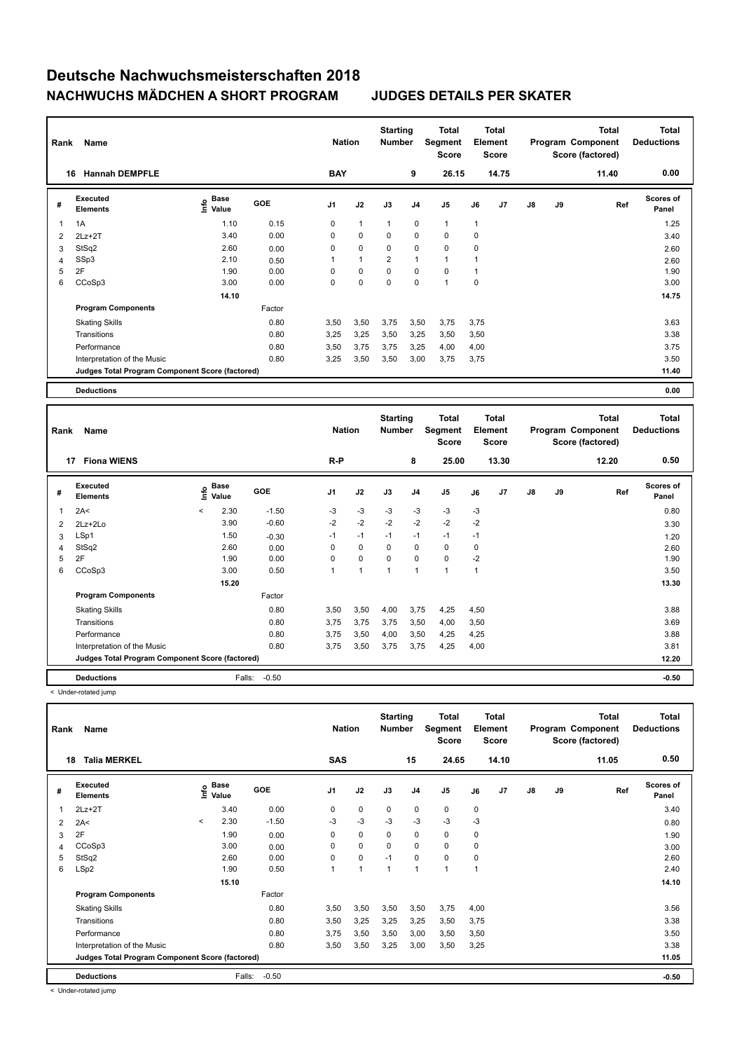| Rank | Name                                            |                              | <b>Nation</b> |                | <b>Starting</b><br><b>Number</b> |                | Total<br>Segment<br><b>Score</b> | <b>Total</b><br>Element<br><b>Score</b> |              |       |               | <b>Total</b><br>Program Component<br>Score (factored) | <b>Total</b><br><b>Deductions</b> |                           |
|------|-------------------------------------------------|------------------------------|---------------|----------------|----------------------------------|----------------|----------------------------------|-----------------------------------------|--------------|-------|---------------|-------------------------------------------------------|-----------------------------------|---------------------------|
|      | <b>Hannah DEMPFLE</b><br>16                     |                              |               | <b>BAY</b>     |                                  |                | 9                                | 26.15                                   |              | 14.75 |               |                                                       | 11.40                             | 0.00                      |
| #    | Executed<br><b>Elements</b>                     | <b>Base</b><br>lnfo<br>Value | <b>GOE</b>    | J <sub>1</sub> | J2                               | J3             | J <sub>4</sub>                   | J <sub>5</sub>                          | J6           | J7    | $\mathsf{J}8$ | J9                                                    | Ref                               | <b>Scores of</b><br>Panel |
| 1    | 1A                                              | 1.10                         | 0.15          | 0              | $\overline{1}$                   | $\overline{1}$ | $\mathbf 0$                      | $\mathbf{1}$                            | $\mathbf{1}$ |       |               |                                                       |                                   | 1.25                      |
| 2    | $2Lz+2T$                                        | 3.40                         | 0.00          | 0              | 0                                | 0              | $\mathbf 0$                      | $\mathbf 0$                             | $\mathbf 0$  |       |               |                                                       |                                   | 3.40                      |
| 3    | StSq2                                           | 2.60                         | 0.00          | 0              | $\mathbf 0$                      | 0              | 0                                | $\mathbf 0$                             | $\mathbf 0$  |       |               |                                                       |                                   | 2.60                      |
| 4    | SSp3                                            | 2.10                         | 0.50          |                | $\overline{1}$                   | $\overline{2}$ | $\overline{1}$                   | $\overline{1}$                          |              |       |               |                                                       |                                   | 2.60                      |
| 5    | 2F                                              | 1.90                         | 0.00          | 0              | $\mathbf 0$                      | $\mathbf 0$    | $\mathbf 0$                      | $\mathbf 0$                             | 1            |       |               |                                                       |                                   | 1.90                      |
| 6    | CCoSp3                                          | 3.00                         | 0.00          | 0              | $\mathbf 0$                      | $\mathbf 0$    | $\mathbf 0$                      | 1                                       | $\mathbf 0$  |       |               |                                                       |                                   | 3.00                      |
|      |                                                 | 14.10                        |               |                |                                  |                |                                  |                                         |              |       |               |                                                       |                                   | 14.75                     |
|      | <b>Program Components</b>                       |                              | Factor        |                |                                  |                |                                  |                                         |              |       |               |                                                       |                                   |                           |
|      | <b>Skating Skills</b>                           |                              | 0.80          | 3,50           | 3,50                             | 3,75           | 3,50                             | 3,75                                    | 3,75         |       |               |                                                       |                                   | 3.63                      |
|      | Transitions                                     |                              | 0.80          | 3,25           | 3,25                             | 3,50           | 3,25                             | 3,50                                    | 3,50         |       |               |                                                       |                                   | 3.38                      |
|      | Performance                                     |                              | 0.80          | 3,50           | 3,75                             | 3,75           | 3,25                             | 4,00                                    | 4,00         |       |               |                                                       |                                   | 3.75                      |
|      | Interpretation of the Music                     |                              | 0.80          | 3,25           | 3,50                             | 3,50           | 3,00                             | 3,75                                    | 3,75         |       |               |                                                       |                                   | 3.50                      |
|      | Judges Total Program Component Score (factored) |                              |               |                |                                  |                |                                  |                                         |              |       |               |                                                       |                                   | 11.40                     |
|      | <b>Deductions</b>                               |                              |               |                |                                  |                |                                  |                                         |              |       |               |                                                       |                                   | 0.00                      |

| Rank | Name                                            | <b>Nation</b> |                      | <b>Starting</b><br><b>Number</b> |                | Total<br>Segment<br><b>Score</b> | <b>Total</b><br>Element<br><b>Score</b> |                |                |             | <b>Total</b><br>Program Component<br>Score (factored) | <b>Total</b><br><b>Deductions</b> |    |       |                           |
|------|-------------------------------------------------|---------------|----------------------|----------------------------------|----------------|----------------------------------|-----------------------------------------|----------------|----------------|-------------|-------------------------------------------------------|-----------------------------------|----|-------|---------------------------|
|      | 17<br><b>Fiona WIENS</b>                        |               |                      |                                  | $R-P$          |                                  |                                         | 8              | 25.00          |             | 13.30                                                 |                                   |    | 12.20 | 0.50                      |
| #    | <b>Executed</b><br><b>Elements</b>              | lnfo          | <b>Base</b><br>Value | <b>GOE</b>                       | J <sub>1</sub> | J2                               | J3                                      | J <sub>4</sub> | J <sub>5</sub> | J6          | J7                                                    | $\mathsf{J}8$                     | J9 | Ref   | <b>Scores of</b><br>Panel |
| 1    | 2A<                                             | $\prec$       | 2.30                 | $-1.50$                          | $-3$           | $-3$                             | -3                                      | -3             | $-3$           | $-3$        |                                                       |                                   |    |       | 0.80                      |
| 2    | 2Lz+2Lo                                         |               | 3.90                 | $-0.60$                          | $-2$           | $-2$                             | $-2$                                    | $-2$           | $-2$           | $-2$        |                                                       |                                   |    |       | 3.30                      |
| 3    | LSp1                                            |               | 1.50                 | $-0.30$                          | $-1$           | $-1$                             | $-1$                                    | $-1$           | $-1$           | $-1$        |                                                       |                                   |    |       | 1.20                      |
| 4    | StSq2                                           |               | 2.60                 | 0.00                             | 0              | $\mathbf 0$                      | $\Omega$                                | $\mathbf 0$    | $\mathbf 0$    | $\mathbf 0$ |                                                       |                                   |    |       | 2.60                      |
| 5    | 2F                                              |               | 1.90                 | 0.00                             | $\Omega$       | $\mathbf 0$                      | 0                                       | 0              | $\mathbf 0$    | $-2$        |                                                       |                                   |    |       | 1.90                      |
| 6    | CCoSp3                                          |               | 3.00                 | 0.50                             |                | 1                                | 1                                       | $\mathbf{1}$   | $\overline{ }$ | 1           |                                                       |                                   |    |       | 3.50                      |
|      |                                                 |               | 15.20                |                                  |                |                                  |                                         |                |                |             |                                                       |                                   |    |       | 13.30                     |
|      | <b>Program Components</b>                       |               |                      | Factor                           |                |                                  |                                         |                |                |             |                                                       |                                   |    |       |                           |
|      | <b>Skating Skills</b>                           |               |                      | 0.80                             | 3,50           | 3,50                             | 4,00                                    | 3,75           | 4,25           | 4,50        |                                                       |                                   |    |       | 3.88                      |
|      | Transitions                                     |               |                      | 0.80                             | 3,75           | 3,75                             | 3,75                                    | 3,50           | 4,00           | 3,50        |                                                       |                                   |    |       | 3.69                      |
|      | Performance                                     |               |                      | 0.80                             | 3,75           | 3,50                             | 4,00                                    | 3,50           | 4,25           | 4,25        |                                                       |                                   |    |       | 3.88                      |
|      | Interpretation of the Music                     |               |                      | 0.80                             | 3,75           | 3,50                             | 3,75                                    | 3,75           | 4,25           | 4,00        |                                                       |                                   |    |       | 3.81                      |
|      | Judges Total Program Component Score (factored) |               |                      |                                  |                |                                  |                                         |                |                |             |                                                       |                                   |    |       | 12.20                     |
|      | <b>Deductions</b>                               |               | Falls:               | $-0.50$                          |                |                                  |                                         |                |                |             |                                                       |                                   |    |       | $-0.50$                   |

< Under-rotated jump

| Rank           | Name                                            |         | <b>Nation</b>             |         | <b>Starting</b><br><b>Number</b> | Total<br>Segment<br><b>Score</b> | Total<br>Element<br><b>Score</b> |                |             |              | <b>Total</b><br>Program Component<br>Score (factored) | <b>Total</b><br><b>Deductions</b> |    |       |                           |
|----------------|-------------------------------------------------|---------|---------------------------|---------|----------------------------------|----------------------------------|----------------------------------|----------------|-------------|--------------|-------------------------------------------------------|-----------------------------------|----|-------|---------------------------|
|                | <b>Talia MERKEL</b><br>18                       |         |                           |         | <b>SAS</b>                       |                                  |                                  | 15             | 24.65       |              | 14.10                                                 |                                   |    | 11.05 | 0.50                      |
| #              | Executed<br><b>Elements</b>                     |         | Base<br>o Base<br>⊆ Value | GOE     | J <sub>1</sub>                   | J2                               | J3                               | J <sub>4</sub> | J5          | J6           | J7                                                    | $\mathsf{J}8$                     | J9 | Ref   | <b>Scores of</b><br>Panel |
| 1              | $2Lz+2T$                                        |         | 3.40                      | 0.00    | 0                                | $\mathbf 0$                      | 0                                | 0              | $\mathbf 0$ | 0            |                                                       |                                   |    |       | 3.40                      |
| $\overline{2}$ | 2A<                                             | $\prec$ | 2.30                      | $-1.50$ | $-3$                             | $-3$                             | $-3$                             | $-3$           | $-3$        | $-3$         |                                                       |                                   |    |       | 0.80                      |
| 3              | 2F                                              |         | 1.90                      | 0.00    | $\Omega$                         | $\mathbf 0$                      | $\Omega$                         | $\mathbf 0$    | $\mathbf 0$ | 0            |                                                       |                                   |    |       | 1.90                      |
| 4              | CCoSp3                                          |         | 3.00                      | 0.00    | 0                                | 0                                | 0                                | 0              | $\mathbf 0$ | 0            |                                                       |                                   |    |       | 3.00                      |
| 5              | StSq2                                           |         | 2.60                      | 0.00    | 0                                | $\pmb{0}$                        | $-1$                             | 0              | $\mathbf 0$ | 0            |                                                       |                                   |    |       | 2.60                      |
| 6              | LSp2                                            |         | 1.90                      | 0.50    | $\mathbf 1$                      | 1                                | 1                                | $\overline{1}$ | 1           | $\mathbf{1}$ |                                                       |                                   |    |       | 2.40                      |
|                |                                                 |         | 15.10                     |         |                                  |                                  |                                  |                |             |              |                                                       |                                   |    |       | 14.10                     |
|                | <b>Program Components</b>                       |         |                           | Factor  |                                  |                                  |                                  |                |             |              |                                                       |                                   |    |       |                           |
|                | <b>Skating Skills</b>                           |         |                           | 0.80    | 3.50                             | 3,50                             | 3,50                             | 3,50           | 3,75        | 4,00         |                                                       |                                   |    |       | 3.56                      |
|                | Transitions                                     |         |                           | 0.80    | 3,50                             | 3,25                             | 3,25                             | 3,25           | 3,50        | 3,75         |                                                       |                                   |    |       | 3.38                      |
|                | Performance                                     |         |                           | 0.80    | 3.75                             | 3,50                             | 3,50                             | 3,00           | 3,50        | 3,50         |                                                       |                                   |    |       | 3.50                      |
|                | Interpretation of the Music                     |         |                           | 0.80    | 3,50                             | 3,50                             | 3,25                             | 3,00           | 3,50        | 3,25         |                                                       |                                   |    |       | 3.38                      |
|                | Judges Total Program Component Score (factored) |         |                           |         |                                  |                                  |                                  |                |             |              |                                                       |                                   |    |       | 11.05                     |
|                | <b>Deductions</b>                               |         | Falls:                    | $-0.50$ |                                  |                                  |                                  |                |             |              |                                                       |                                   |    |       | $-0.50$                   |

< Under-rotated jump